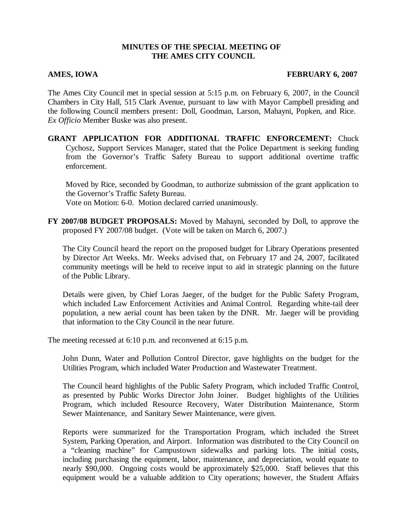### **MINUTES OF THE SPECIAL MEETING OF THE AMES CITY COUNCIL**

### **AMES, IOWA FEBRUARY 6, 2007**

The Ames City Council met in special session at 5:15 p.m. on February 6, 2007, in the Council Chambers in City Hall, 515 Clark Avenue, pursuant to law with Mayor Campbell presiding and the following Council members present: Doll, Goodman, Larson, Mahayni, Popken, and Rice. *Ex Officio* Member Buske was also present.

**GRANT APPLICATION FOR ADDITIONAL TRAFFIC ENFORCEMENT:** Chuck Cychosz, Support Services Manager, stated that the Police Department is seeking funding from the Governor's Traffic Safety Bureau to support additional overtime traffic enforcement.

Moved by Rice, seconded by Goodman, to authorize submission of the grant application to the Governor's Traffic Safety Bureau. Vote on Motion: 6-0. Motion declared carried unanimously.

**FY 2007/08 BUDGET PROPOSALS:** Moved by Mahayni, seconded by Doll, to approve the proposed FY 2007/08 budget. (Vote will be taken on March 6, 2007.)

The City Council heard the report on the proposed budget for Library Operations presented by Director Art Weeks. Mr. Weeks advised that, on February 17 and 24, 2007, facilitated community meetings will be held to receive input to aid in strategic planning on the future of the Public Library.

Details were given, by Chief Loras Jaeger, of the budget for the Public Safety Program, which included Law Enforcement Activities and Animal Control. Regarding white-tail deer population, a new aerial count has been taken by the DNR. Mr. Jaeger will be providing that information to the City Council in the near future.

The meeting recessed at 6:10 p.m. and reconvened at 6:15 p.m.

John Dunn, Water and Pollution Control Director, gave highlights on the budget for the Utilities Program, which included Water Production and Wastewater Treatment.

The Council heard highlights of the Public Safety Program, which included Traffic Control, as presented by Public Works Director John Joiner. Budget highlights of the Utilities Program, which included Resource Recovery, Water Distribution Maintenance, Storm Sewer Maintenance, and Sanitary Sewer Maintenance, were given.

Reports were summarized for the Transportation Program, which included the Street System, Parking Operation, and Airport. Information was distributed to the City Council on a "cleaning machine" for Campustown sidewalks and parking lots. The initial costs, including purchasing the equipment, labor, maintenance, and depreciation, would equate to nearly \$90,000. Ongoing costs would be approximately \$25,000. Staff believes that this equipment would be a valuable addition to City operations; however, the Student Affairs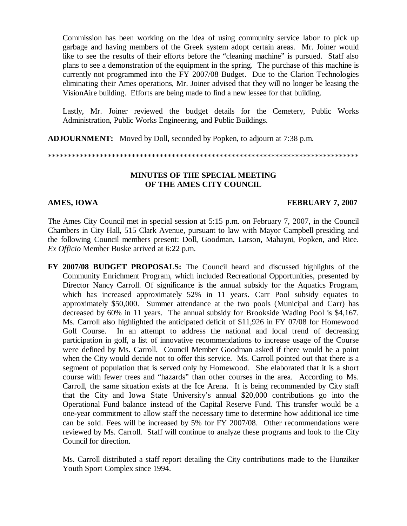Commission has been working on the idea of using community service labor to pick up garbage and having members of the Greek system adopt certain areas. Mr. Joiner would like to see the results of their efforts before the "cleaning machine" is pursued. Staff also plans to see a demonstration of the equipment in the spring. The purchase of this machine is currently not programmed into the FY 2007/08 Budget. Due to the Clarion Technologies eliminating their Ames operations, Mr. Joiner advised that they will no longer be leasing the VisionAire building. Efforts are being made to find a new lessee for that building.

Lastly, Mr. Joiner reviewed the budget details for the Cemetery, Public Works Administration, Public Works Engineering, and Public Buildings.

**ADJOURNMENT:** Moved by Doll, seconded by Popken, to adjourn at 7:38 p.m.

\*\*\*\*\*\*\*\*\*\*\*\*\*\*\*\*\*\*\*\*\*\*\*\*\*\*\*\*\*\*\*\*\*\*\*\*\*\*\*\*\*\*\*\*\*\*\*\*\*\*\*\*\*\*\*\*\*\*\*\*\*\*\*\*\*\*\*\*\*\*\*\*\*\*\*\*\*\*

# **MINUTES OF THE SPECIAL MEETING OF THE AMES CITY COUNCIL**

# **AMES, IOWA FEBRUARY 7, 2007**

The Ames City Council met in special session at 5:15 p.m. on February 7, 2007, in the Council Chambers in City Hall, 515 Clark Avenue, pursuant to law with Mayor Campbell presiding and the following Council members present: Doll, Goodman, Larson, Mahayni, Popken, and Rice. *Ex Officio* Member Buske arrived at 6:22 p.m.

**FY 2007/08 BUDGET PROPOSALS:** The Council heard and discussed highlights of the Community Enrichment Program, which included Recreational Opportunities, presented by Director Nancy Carroll. Of significance is the annual subsidy for the Aquatics Program, which has increased approximately 52% in 11 years. Carr Pool subsidy equates to approximately \$50,000. Summer attendance at the two pools (Municipal and Carr) has decreased by 60% in 11 years. The annual subsidy for Brookside Wading Pool is \$4,167. Ms. Carroll also highlighted the anticipated deficit of \$11,926 in FY 07/08 for Homewood Golf Course. In an attempt to address the national and local trend of decreasing participation in golf, a list of innovative recommendations to increase usage of the Course were defined by Ms. Carroll. Council Member Goodman asked if there would be a point when the City would decide not to offer this service. Ms. Carroll pointed out that there is a segment of population that is served only by Homewood. She elaborated that it is a short course with fewer trees and "hazards" than other courses in the area. According to Ms. Carroll, the same situation exists at the Ice Arena. It is being recommended by City staff that the City and Iowa State University's annual \$20,000 contributions go into the Operational Fund balance instead of the Capital Reserve Fund. This transfer would be a one-year commitment to allow staff the necessary time to determine how additional ice time can be sold. Fees will be increased by 5% for FY 2007/08. Other recommendations were reviewed by Ms. Carroll. Staff will continue to analyze these programs and look to the City Council for direction.

Ms. Carroll distributed a staff report detailing the City contributions made to the Hunziker Youth Sport Complex since 1994.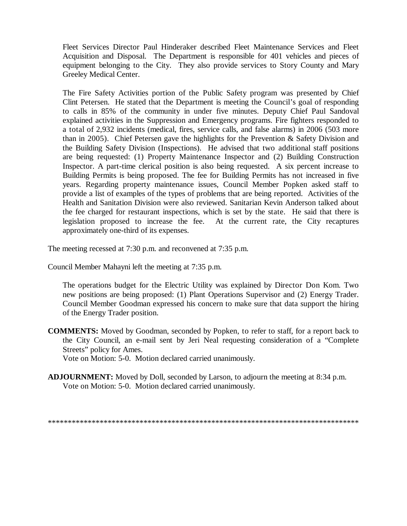Fleet Services Director Paul Hinderaker described Fleet Maintenance Services and Fleet Acquisition and Disposal. The Department is responsible for 401 vehicles and pieces of equipment belonging to the City. They also provide services to Story County and Mary Greeley Medical Center.

The Fire Safety Activities portion of the Public Safety program was presented by Chief Clint Petersen. He stated that the Department is meeting the Council's goal of responding to calls in 85% of the community in under five minutes. Deputy Chief Paul Sandoval explained activities in the Suppression and Emergency programs. Fire fighters responded to a total of 2,932 incidents (medical, fires, service calls, and false alarms) in 2006 (503 more than in 2005). Chief Petersen gave the highlights for the Prevention & Safety Division and the Building Safety Division (Inspections). He advised that two additional staff positions are being requested: (1) Property Maintenance Inspector and (2) Building Construction Inspector. A part-time clerical position is also being requested. A six percent increase to Building Permits is being proposed. The fee for Building Permits has not increased in five years. Regarding property maintenance issues, Council Member Popken asked staff to provide a list of examples of the types of problems that are being reported. Activities of the Health and Sanitation Division were also reviewed. Sanitarian Kevin Anderson talked about the fee charged for restaurant inspections, which is set by the state. He said that there is legislation proposed to increase the fee. At the current rate, the City recaptures approximately one-third of its expenses.

The meeting recessed at 7:30 p.m. and reconvened at 7:35 p.m.

Council Member Mahayni left the meeting at 7:35 p.m.

The operations budget for the Electric Utility was explained by Director Don Kom. Two new positions are being proposed: (1) Plant Operations Supervisor and (2) Energy Trader. Council Member Goodman expressed his concern to make sure that data support the hiring of the Energy Trader position.

- **COMMENTS:** Moved by Goodman, seconded by Popken, to refer to staff, for a report back to the City Council, an e-mail sent by Jeri Neal requesting consideration of a "Complete Streets" policy for Ames. Vote on Motion: 5-0. Motion declared carried unanimously.
- **ADJOURNMENT:** Moved by Doll, seconded by Larson, to adjourn the meeting at 8:34 p.m. Vote on Motion: 5-0. Motion declared carried unanimously.

\*\*\*\*\*\*\*\*\*\*\*\*\*\*\*\*\*\*\*\*\*\*\*\*\*\*\*\*\*\*\*\*\*\*\*\*\*\*\*\*\*\*\*\*\*\*\*\*\*\*\*\*\*\*\*\*\*\*\*\*\*\*\*\*\*\*\*\*\*\*\*\*\*\*\*\*\*\*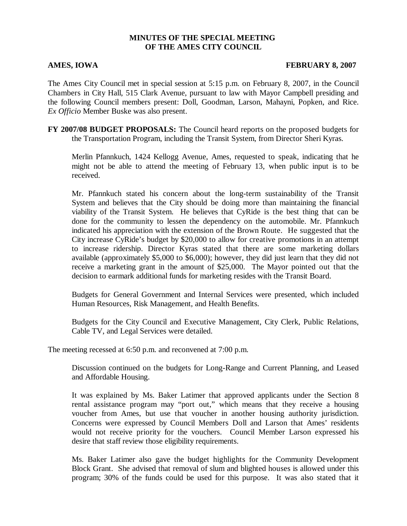## **MINUTES OF THE SPECIAL MEETING OF THE AMES CITY COUNCIL**

### **AMES, IOWA FEBRUARY 8, 2007**

The Ames City Council met in special session at 5:15 p.m. on February 8, 2007, in the Council Chambers in City Hall, 515 Clark Avenue, pursuant to law with Mayor Campbell presiding and the following Council members present: Doll, Goodman, Larson, Mahayni, Popken, and Rice. *Ex Officio* Member Buske was also present.

**FY 2007/08 BUDGET PROPOSALS:** The Council heard reports on the proposed budgets for the Transportation Program, including the Transit System, from Director Sheri Kyras.

Merlin Pfannkuch, 1424 Kellogg Avenue, Ames, requested to speak, indicating that he might not be able to attend the meeting of February 13, when public input is to be received.

Mr. Pfannkuch stated his concern about the long-term sustainability of the Transit System and believes that the City should be doing more than maintaining the financial viability of the Transit System. He believes that CyRide is the best thing that can be done for the community to lessen the dependency on the automobile. Mr. Pfannkuch indicated his appreciation with the extension of the Brown Route. He suggested that the City increase CyRide's budget by \$20,000 to allow for creative promotions in an attempt to increase ridership. Director Kyras stated that there are some marketing dollars available (approximately \$5,000 to \$6,000); however, they did just learn that they did not receive a marketing grant in the amount of \$25,000. The Mayor pointed out that the decision to earmark additional funds for marketing resides with the Transit Board.

Budgets for General Government and Internal Services were presented, which included Human Resources, Risk Management, and Health Benefits.

Budgets for the City Council and Executive Management, City Clerk, Public Relations, Cable TV, and Legal Services were detailed.

The meeting recessed at 6:50 p.m. and reconvened at 7:00 p.m.

Discussion continued on the budgets for Long-Range and Current Planning, and Leased and Affordable Housing.

It was explained by Ms. Baker Latimer that approved applicants under the Section 8 rental assistance program may "port out," which means that they receive a housing voucher from Ames, but use that voucher in another housing authority jurisdiction. Concerns were expressed by Council Members Doll and Larson that Ames' residents would not receive priority for the vouchers. Council Member Larson expressed his desire that staff review those eligibility requirements.

Ms. Baker Latimer also gave the budget highlights for the Community Development Block Grant. She advised that removal of slum and blighted houses is allowed under this program; 30% of the funds could be used for this purpose. It was also stated that it